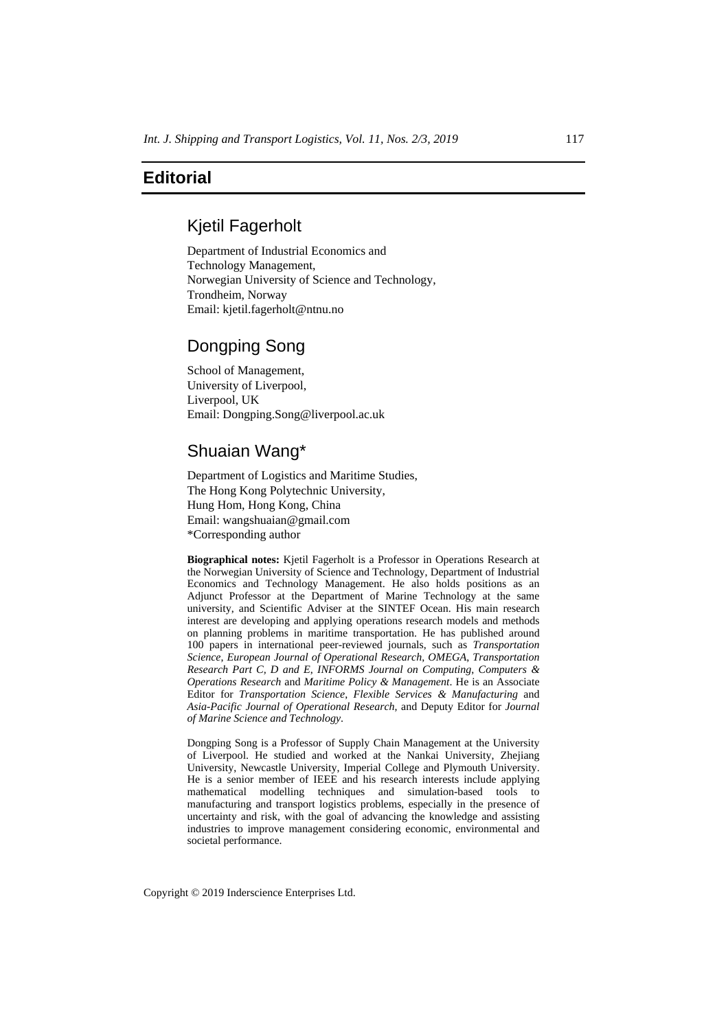### **Editorial**

#### Kjetil Fagerholt

Department of Industrial Economics and Technology Management, Norwegian University of Science and Technology, Trondheim, Norway Email: kjetil.fagerholt@ntnu.no

# Dongping Song

School of Management, University of Liverpool, Liverpool, UK Email: Dongping.Song@liverpool.ac.uk

# Shuaian Wang\*

Department of Logistics and Maritime Studies, The Hong Kong Polytechnic University, Hung Hom, Hong Kong, China Email: wangshuaian@gmail.com \*Corresponding author

**Biographical notes:** Kjetil Fagerholt is a Professor in Operations Research at the Norwegian University of Science and Technology, Department of Industrial Economics and Technology Management. He also holds positions as an Adjunct Professor at the Department of Marine Technology at the same university, and Scientific Adviser at the SINTEF Ocean. His main research interest are developing and applying operations research models and methods on planning problems in maritime transportation. He has published around 100 papers in international peer-reviewed journals, such as *Transportation Science*, *European Journal of Operational Research*, *OMEGA*, *Transportation Research Part C, D and E*, *INFORMS Journal on Computing*, *Computers & Operations Research* and *Maritime Policy & Management*. He is an Associate Editor for *Transportation Science*, *Flexible Services & Manufacturing* and *Asia-Pacific Journal of Operational Research*, and Deputy Editor for *Journal of Marine Science and Technology*.

Dongping Song is a Professor of Supply Chain Management at the University of Liverpool. He studied and worked at the Nankai University, Zhejiang University, Newcastle University, Imperial College and Plymouth University. He is a senior member of IEEE and his research interests include applying mathematical modelling techniques and simulation-based tools to manufacturing and transport logistics problems, especially in the presence of uncertainty and risk, with the goal of advancing the knowledge and assisting industries to improve management considering economic, environmental and societal performance.